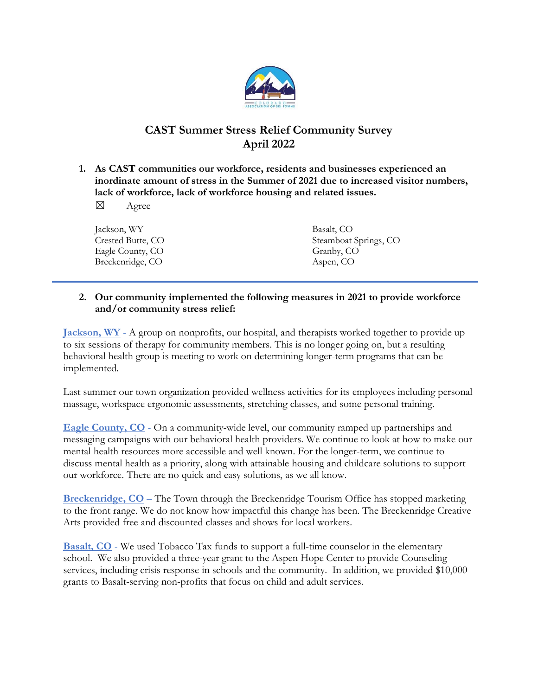

# CAST Summer Stress Relief Community Survey April 2022

- 1. As CAST communities our workforce, residents and businesses experienced an inordinate amount of stress in the Summer of 2021 due to increased visitor numbers, lack of workforce, lack of workforce housing and related issues.
	- ☒ Agree

| Jackson, WY       | Basalt, CO            |
|-------------------|-----------------------|
| Crested Butte, CO | Steamboat Springs, CO |
| Eagle County, CO  | Granby, CO            |
| Breckenridge, CO  | Aspen, CO             |

### 2. Our community implemented the following measures in 2021 to provide workforce and/or community stress relief:

Jackson, WY - A group on nonprofits, our hospital, and therapists worked together to provide up to six sessions of therapy for community members. This is no longer going on, but a resulting behavioral health group is meeting to work on determining longer-term programs that can be implemented.

Last summer our town organization provided wellness activities for its employees including personal massage, workspace ergonomic assessments, stretching classes, and some personal training.

Eagle County, CO - On a community-wide level, our community ramped up partnerships and messaging campaigns with our behavioral health providers. We continue to look at how to make our mental health resources more accessible and well known. For the longer-term, we continue to discuss mental health as a priority, along with attainable housing and childcare solutions to support our workforce. There are no quick and easy solutions, as we all know.

Breckenridge, CO – The Town through the Breckenridge Tourism Office has stopped marketing to the front range. We do not know how impactful this change has been. The Breckenridge Creative Arts provided free and discounted classes and shows for local workers.

Basalt, CO - We used Tobacco Tax funds to support a full-time counselor in the elementary school. We also provided a three-year grant to the Aspen Hope Center to provide Counseling services, including crisis response in schools and the community. In addition, we provided \$10,000 grants to Basalt-serving non-profits that focus on child and adult services.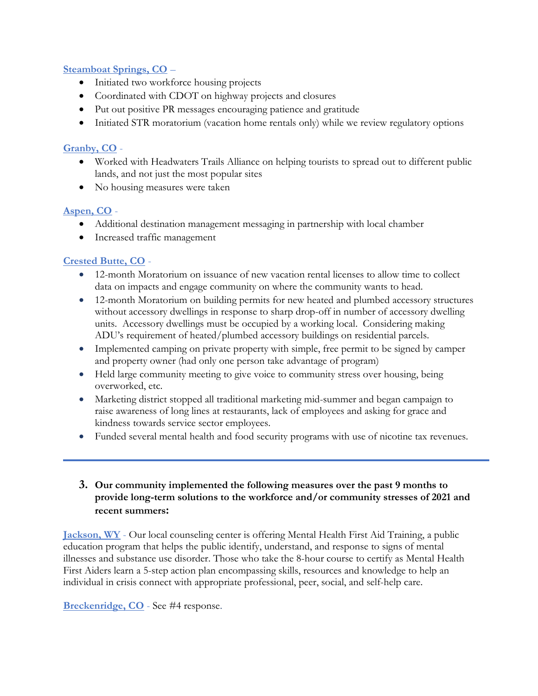### Steamboat Springs, CO –

- Initiated two workforce housing projects
- Coordinated with CDOT on highway projects and closures
- Put out positive PR messages encouraging patience and gratitude
- Initiated STR moratorium (vacation home rentals only) while we review regulatory options

## Granby, CO -

- Worked with Headwaters Trails Alliance on helping tourists to spread out to different public lands, and not just the most popular sites
- No housing measures were taken

## Aspen, CO -

- Additional destination management messaging in partnership with local chamber
- Increased traffic management

## Crested Butte, CO -

- 12-month Moratorium on issuance of new vacation rental licenses to allow time to collect data on impacts and engage community on where the community wants to head.
- 12-month Moratorium on building permits for new heated and plumbed accessory structures without accessory dwellings in response to sharp drop-off in number of accessory dwelling units. Accessory dwellings must be occupied by a working local. Considering making ADU's requirement of heated/plumbed accessory buildings on residential parcels.
- Implemented camping on private property with simple, free permit to be signed by camper and property owner (had only one person take advantage of program)
- Held large community meeting to give voice to community stress over housing, being overworked, etc.
- Marketing district stopped all traditional marketing mid-summer and began campaign to raise awareness of long lines at restaurants, lack of employees and asking for grace and kindness towards service sector employees.
- Funded several mental health and food security programs with use of nicotine tax revenues.

## 3. Our community implemented the following measures over the past 9 months to provide long-term solutions to the workforce and/or community stresses of 2021 and recent summers:

Jackson, WY - Our local counseling center is offering Mental Health First Aid Training, a public education program that helps the public identify, understand, and response to signs of mental illnesses and substance use disorder. Those who take the 8-hour course to certify as Mental Health First Aiders learn a 5-step action plan encompassing skills, resources and knowledge to help an individual in crisis connect with appropriate professional, peer, social, and self-help care.

#### Breckenridge, CO - See #4 response.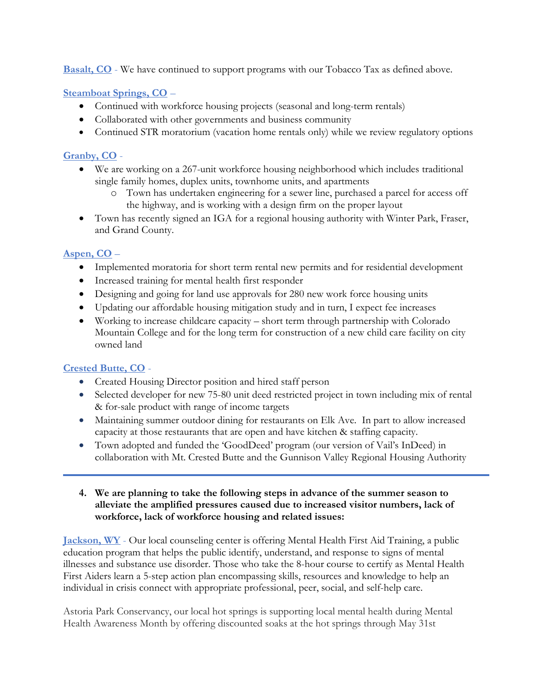Basalt, CO - We have continued to support programs with our Tobacco Tax as defined above.

Steamboat Springs, CO –

- Continued with workforce housing projects (seasonal and long-term rentals)
- Collaborated with other governments and business community
- Continued STR moratorium (vacation home rentals only) while we review regulatory options

## Granby, CO -

- We are working on a 267-unit workforce housing neighborhood which includes traditional single family homes, duplex units, townhome units, and apartments
	- o Town has undertaken engineering for a sewer line, purchased a parcel for access off the highway, and is working with a design firm on the proper layout
- Town has recently signed an IGA for a regional housing authority with Winter Park, Fraser, and Grand County.

## Aspen, CO –

- Implemented moratoria for short term rental new permits and for residential development
- Increased training for mental health first responder
- Designing and going for land use approvals for 280 new work force housing units
- Updating our affordable housing mitigation study and in turn, I expect fee increases
- Working to increase childcare capacity short term through partnership with Colorado Mountain College and for the long term for construction of a new child care facility on city owned land

## Crested Butte, CO -

- Created Housing Director position and hired staff person
- Selected developer for new 75-80 unit deed restricted project in town including mix of rental & for-sale product with range of income targets
- Maintaining summer outdoor dining for restaurants on Elk Ave. In part to allow increased capacity at those restaurants that are open and have kitchen & staffing capacity.
- Town adopted and funded the 'GoodDeed' program (our version of Vail's InDeed) in collaboration with Mt. Crested Butte and the Gunnison Valley Regional Housing Authority

### 4. We are planning to take the following steps in advance of the summer season to alleviate the amplified pressures caused due to increased visitor numbers, lack of workforce, lack of workforce housing and related issues:

Jackson, WY - Our local counseling center is offering Mental Health First Aid Training, a public education program that helps the public identify, understand, and response to signs of mental illnesses and substance use disorder. Those who take the 8-hour course to certify as Mental Health First Aiders learn a 5-step action plan encompassing skills, resources and knowledge to help an individual in crisis connect with appropriate professional, peer, social, and self-help care.

Astoria Park Conservancy, our local hot springs is supporting local mental health during Mental Health Awareness Month by offering discounted soaks at the hot springs through May 31st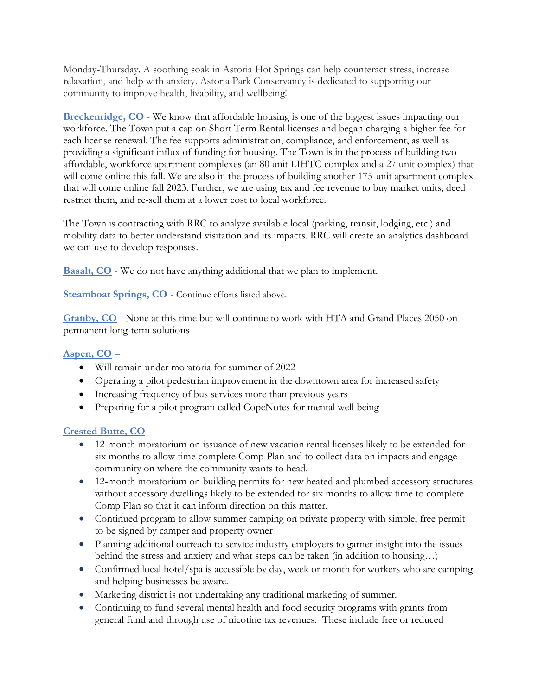Monday-Thursday. A soothing soak in Astoria Hot Springs can help counteract stress, increase relaxation, and help with anxiety. Astoria Park Conservancy is dedicated to supporting our community to improve health, livability, and wellbeing!

Breckenridge, CO - We know that affordable housing is one of the biggest issues impacting our workforce. The Town put a cap on Short Term Rental licenses and began charging a higher fee for each license renewal. The fee supports administration, compliance, and enforcement, as well as providing a significant influx of funding for housing. The Town is in the process of building two affordable, workforce apartment complexes (an 80 unit LIHTC complex and a 27 unit complex) that will come online this fall. We are also in the process of building another 175-unit apartment complex that will come online fall 2023. Further, we are using tax and fee revenue to buy market units, deed restrict them, and re-sell them at a lower cost to local workforce.

The Town is contracting with RRC to analyze available local (parking, transit, lodging, etc.) and mobility data to better understand visitation and its impacts. RRC will create an analytics dashboard we can use to develop responses.

**Basalt, CO** - We do not have anything additional that we plan to implement.

Steamboat Springs, CO - Continue efforts listed above.

Granby, CO - None at this time but will continue to work with HTA and Grand Places 2050 on permanent long-term solutions

## Aspen, CO –

- Will remain under moratoria for summer of 2022
- Operating a pilot pedestrian improvement in the downtown area for increased safety
- Increasing frequency of bus services more than previous years
- Preparing for a pilot program called CopeNotes for mental well being

## Crested Butte, CO -

- 12-month moratorium on issuance of new vacation rental licenses likely to be extended for six months to allow time complete Comp Plan and to collect data on impacts and engage community on where the community wants to head.
- 12-month moratorium on building permits for new heated and plumbed accessory structures without accessory dwellings likely to be extended for six months to allow time to complete Comp Plan so that it can inform direction on this matter.
- Continued program to allow summer camping on private property with simple, free permit to be signed by camper and property owner
- Planning additional outreach to service industry employers to garner insight into the issues behind the stress and anxiety and what steps can be taken (in addition to housing…)
- Confirmed local hotel/spa is accessible by day, week or month for workers who are camping and helping businesses be aware.
- Marketing district is not undertaking any traditional marketing of summer.
- Continuing to fund several mental health and food security programs with grants from general fund and through use of nicotine tax revenues. These include free or reduced